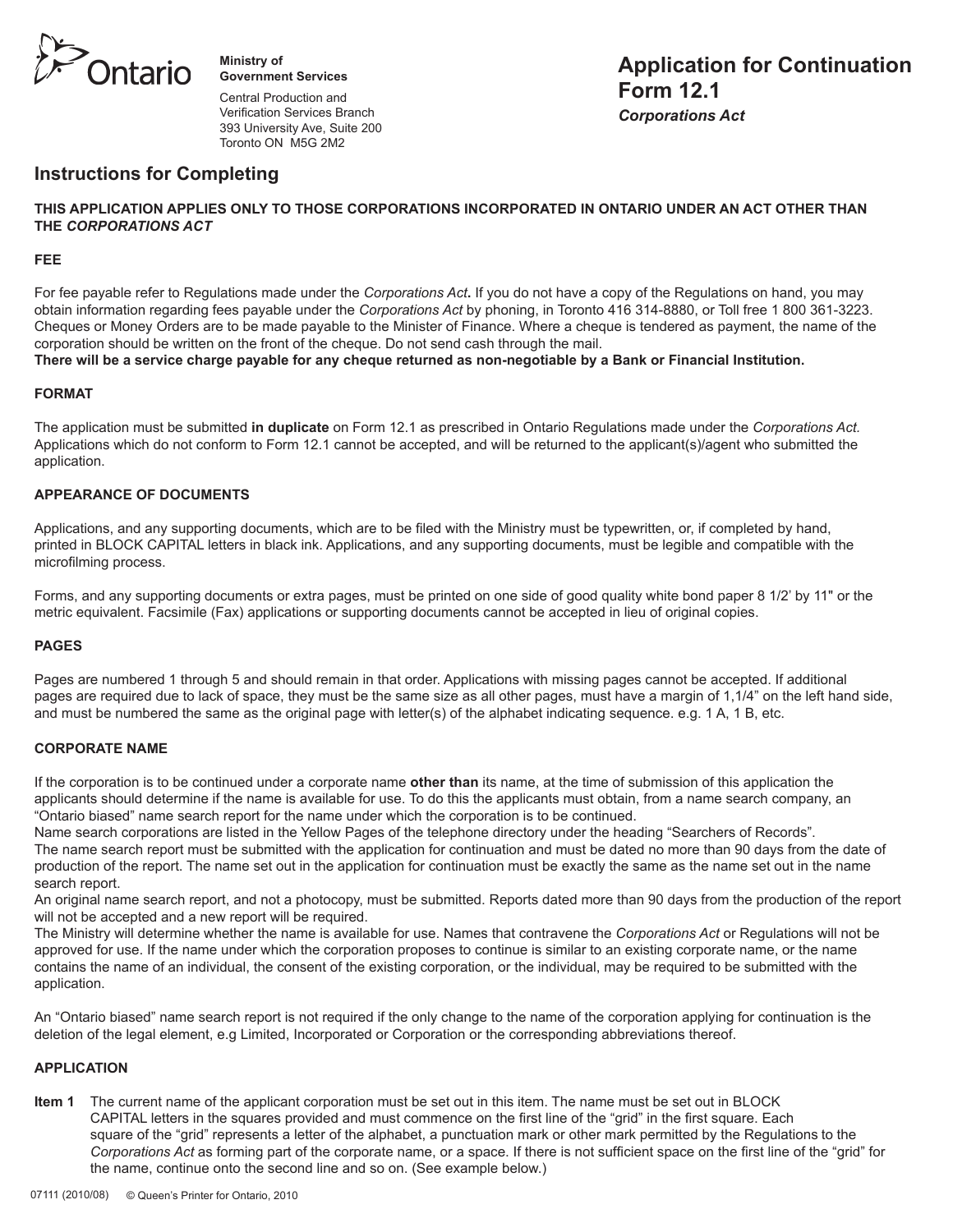

**Ministry of Government Services**

Central Production and Verification Services Branch 393 University Ave, Suite 200 Toronto ON M5G 2M2

## **Application for Continuation Form 12.1** *Corporations Act*

## **Instructions for Completing**

### **THIS APPLICATION APPLIES ONLY TO THOSE CORPORATIONS INCORPORATED IN ONTARIO UNDER AN ACT OTHER THAN THE** *CORPORATIONS ACT*

### **FEE**

For fee payable refer to Regulations made under the *Corporations Act***.** If you do not have a copy of the Regulations on hand, you may obtain information regarding fees payable under the *Corporations Act* by phoning, in Toronto 416 314-8880, or Toll free 1 800 361-3223. Cheques or Money Orders are to be made payable to the Minister of Finance. Where a cheque is tendered as payment, the name of the corporation should be written on the front of the cheque. Do not send cash through the mail.

**There will be a service charge payable for any cheque returned as non-negotiable by a Bank or Financial Institution.**

### **FORMAT**

The application must be submitted **in duplicate** on Form 12.1 as prescribed in Ontario Regulations made under the *Corporations Act.* Applications which do not conform to Form 12.1 cannot be accepted, and will be returned to the applicant(s)/agent who submitted the application.

### **APPEARANCE OF DOCUMENTS**

Applications, and any supporting documents, which are to be filed with the Ministry must be typewritten, or, if completed by hand, printed in BLOCK CAPITAL letters in black ink. Applications, and any supporting documents, must be legible and compatible with the microfilming process.

Forms, and any supporting documents or extra pages, must be printed on one side of good quality white bond paper 8 1/2' by 11" or the metric equivalent. Facsimile (Fax) applications or supporting documents cannot be accepted in lieu of original copies.

### **PAGES**

Pages are numbered 1 through 5 and should remain in that order. Applications with missing pages cannot be accepted. If additional pages are required due to lack of space, they must be the same size as all other pages, must have a margin of 1,1/4" on the left hand side, and must be numbered the same as the original page with letter(s) of the alphabet indicating sequence. e.g. 1 A, 1 B, etc.

### **CORPORATE NAME**

If the corporation is to be continued under a corporate name **other than** its name, at the time of submission of this application the applicants should determine if the name is available for use. To do this the applicants must obtain, from a name search company, an "Ontario biased" name search report for the name under which the corporation is to be continued.

Name search corporations are listed in the Yellow Pages of the telephone directory under the heading "Searchers of Records". The name search report must be submitted with the application for continuation and must be dated no more than 90 days from the date of production of the report. The name set out in the application for continuation must be exactly the same as the name set out in the name search report.

An original name search report, and not a photocopy, must be submitted. Reports dated more than 90 days from the production of the report will not be accepted and a new report will be required.

The Ministry will determine whether the name is available for use. Names that contravene the *Corporations Act* or Regulations will not be approved for use. If the name under which the corporation proposes to continue is similar to an existing corporate name, or the name contains the name of an individual, the consent of the existing corporation, or the individual, may be required to be submitted with the application.

An "Ontario biased" name search report is not required if the only change to the name of the corporation applying for continuation is the deletion of the legal element, e.g Limited, Incorporated or Corporation or the corresponding abbreviations thereof.

### **APPLICATION**

**Item 1** The current name of the applicant corporation must be set out in this item. The name must be set out in BLOCK CAPITAL letters in the squares provided and must commence on the first line of the "grid" in the first square. Each square of the "grid" represents a letter of the alphabet, a punctuation mark or other mark permitted by the Regulations to the *Corporations Act* as forming part of the corporate name, or a space. If there is not sufficient space on the first line of the "grid" for the name, continue onto the second line and so on. (See example below.)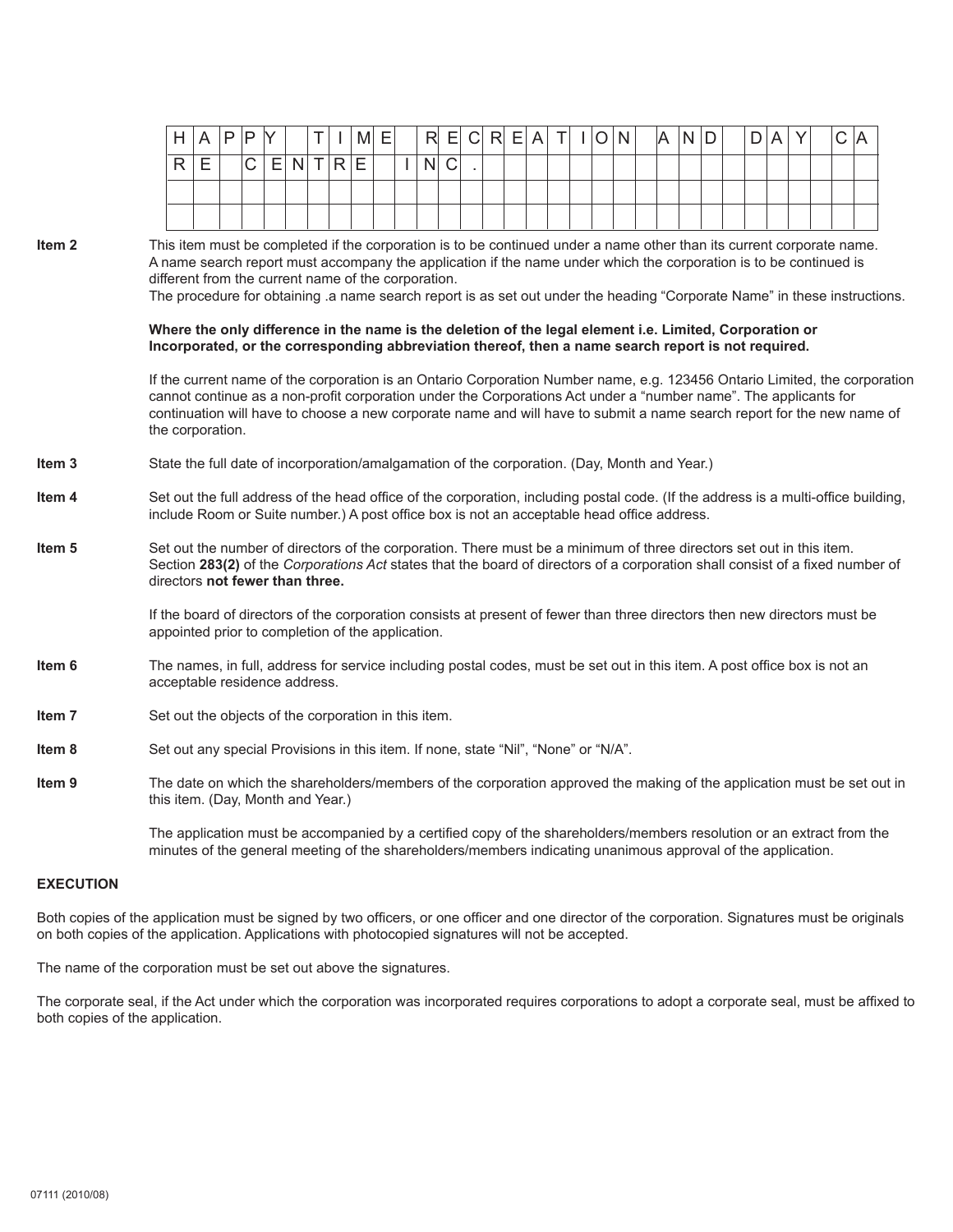|   | H   A   P   P   Y |              |  |  |           | $M \nE$ |   |  |  | $ R \in C   R   E   A   T     O   N  $ |  |  | A | $N$ $D$ |  | D | $\mathsf{A}$ |  |  |
|---|-------------------|--------------|--|--|-----------|---------|---|--|--|----------------------------------------|--|--|---|---------|--|---|--------------|--|--|
| R |                   | $\mathsf{C}$ |  |  | E N T R E |         | N |  |  |                                        |  |  |   |         |  |   |              |  |  |
|   |                   |              |  |  |           |         |   |  |  |                                        |  |  |   |         |  |   |              |  |  |
|   |                   |              |  |  |           |         |   |  |  |                                        |  |  |   |         |  |   |              |  |  |

## **Item 2** This item must be completed if the corporation is to be continued under a name other than its current corporate name. A name search report must accompany the application if the name under which the corporation is to be continued is different from the current name of the corporation.

The procedure for obtaining .a name search report is as set out under the heading "Corporate Name" in these instructions.

### **Where the only difference in the name is the deletion of the legal element i.e. Limited, Corporation or Incorporated, or the corresponding abbreviation thereof, then a name search report is not required.**

 If the current name of the corporation is an Ontario Corporation Number name, e.g. 123456 Ontario Limited, the corporation cannot continue as a non-profit corporation under the Corporations Act under a "number name". The applicants for continuation will have to choose a new corporate name and will have to submit a name search report for the new name of the corporation.

- **Item 3** State the full date of incorporation/amalgamation of the corporation. (Day, Month and Year.)
- **Item 4** Set out the full address of the head office of the corporation, including postal code. (If the address is a multi-office building, include Room or Suite number.) A post office box is not an acceptable head office address.
- **Item 5** Set out the number of directors of the corporation. There must be a minimum of three directors set out in this item. Section 283(2) of the Corporations Act states that the board of directors of a corporation shall consist of a fixed number of directors **not fewer than three.**

 If the board of directors of the corporation consists at present of fewer than three directors then new directors must be appointed prior to completion of the application.

- **Item 6** The names, in full, address for service including postal codes, must be set out in this item. A post office box is not an acceptable residence address.
- **Item 7** Set out the objects of the corporation in this item.
- **Item 8** Set out any special Provisions in this item. If none, state "Nil", "None" or "N/A".
- **Item 9** The date on which the shareholders/members of the corporation approved the making of the application must be set out in this item. (Day, Month and Year.)

The application must be accompanied by a certified copy of the shareholders/members resolution or an extract from the minutes of the general meeting of the shareholders/members indicating unanimous approval of the application.

### **EXECUTION**

Both copies of the application must be signed by two officers, or one officer and one director of the corporation. Signatures must be originals on both copies of the application. Applications with photocopied signatures will not be accepted.

The name of the corporation must be set out above the signatures.

The corporate seal, if the Act under which the corporation was incorporated requires corporations to adopt a corporate seal, must be affixed to both copies of the application.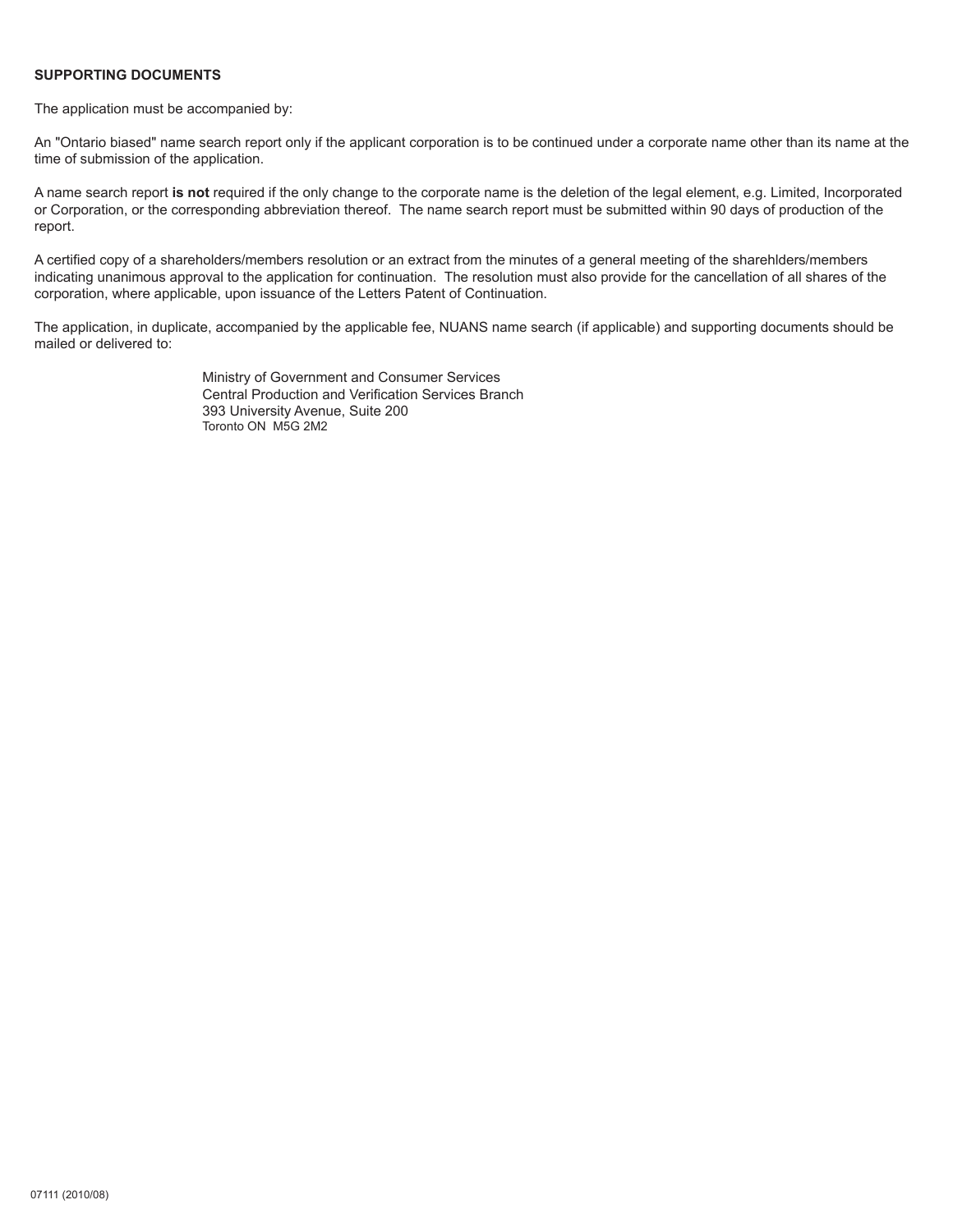### **SUPPORTING DOCUMENTS**

The application must be accompanied by:

An "Ontario biased" name search report only if the applicant corporation is to be continued under a corporate name other than its name at the time of submission of the application.

A name search report **is not** required if the only change to the corporate name is the deletion of the legal element, e.g. Limited, Incorporated or Corporation, or the corresponding abbreviation thereof. The name search report must be submitted within 90 days of production of the report.

A certified copy of a shareholders/members resolution or an extract from the minutes of a general meeting of the sharehlders/members indicating unanimous approval to the application for continuation. The resolution must also provide for the cancellation of all shares of the corporation, where applicable, upon issuance of the Letters Patent of Continuation.

The application, in duplicate, accompanied by the applicable fee, NUANS name search (if applicable) and supporting documents should be mailed or delivered to:

> Ministry of Government and Consumer Services Central Production and Verification Services Branch 393 University Avenue, Suite 200 Toronto ON M5G 2M2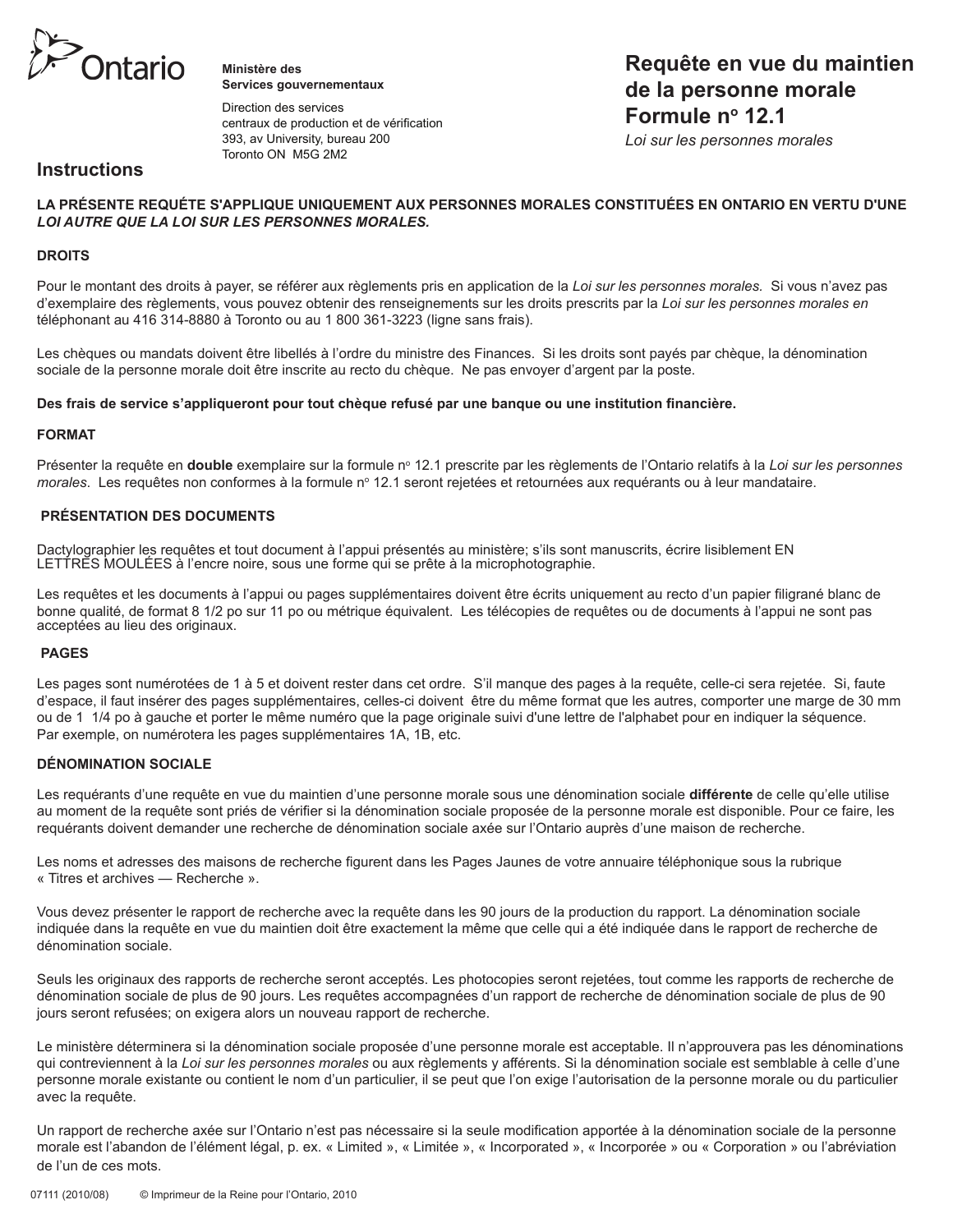

**Ministère des Services gouvernementaux**

Direction des services centraux de production et de vérification 393, av University, bureau 200 Toronto ON M5G 2M2

# **Requête en vue du maintien de la personne morale Formule no 12.1**

*Loi sur les personnes morales*

### **Instructions**

### **LA PRÉSENTE REQUÉTE S'APPLIQUE UNIQUEMENT AUX PERSONNES MORALES CONSTITUÉES EN ONTARIO EN VERTU D'UNE** *LOI AUTRE QUE LA LOI SUR LES PERSONNES MORALES.*

### **DROITS**

Pour le montant des droits à payer, se référer aux règlements pris en application de la *Loi sur les personnes morales.* Si vous n'avez pas d'exemplaire des règlements, vous pouvez obtenir des renseignements sur les droits prescrits par la *Loi sur les personnes morales en*  téléphonant au 416 314-8880 à Toronto ou au 1 800 361-3223 (ligne sans frais).

Les chèques ou mandats doivent être libellés à l'ordre du ministre des Finances. Si les droits sont payés par chèque, la dénomination sociale de la personne morale doit être inscrite au recto du chèque. Ne pas envoyer d'argent par la poste.

### Des frais de service s'appliqueront pour tout chèque refusé par une banque ou une institution financière.

### **FORMAT**

Présenter la requête en **double** exemplaire sur la formule nº 12.1 prescrite par les règlements de l'Ontario relatifs à la Loi sur les personnes morales. Les requêtes non conformes à la formule nº 12.1 seront rejetées et retournées aux requérants ou à leur mandataire.

### **PRÉSENTATION DES DOCUMENTS**

Dactylographier les requêtes et tout document à l'appui présentés au ministère; s'ils sont manuscrits, écrire lisiblement EN LETTRES MOULÉES à l'encre noire, sous une forme qui se prête à la microphotographie.

Les requêtes et les documents à l'appui ou pages supplémentaires doivent être écrits uniquement au recto d'un papier filigrané blanc de bonne qualité, de format 8 1/2 po sur 11 po ou métrique équivalent. Les télécopies de requêtes ou de documents à l'appui ne sont pas acceptées au lieu des originaux.

### **PAGES**

Les pages sont numérotées de 1 à 5 et doivent rester dans cet ordre. S'il manque des pages à la requête, celle-ci sera rejetée. Si, faute d'espace, il faut insérer des pages supplémentaires, celles-ci doivent être du même format que les autres, comporter une marge de 30 mm ou de 1 1/4 po à gauche et porter le même numéro que la page originale suivi d'une lettre de l'alphabet pour en indiquer la séquence. Par exemple, on numérotera les pages supplémentaires 1A, 1B, etc.

### **DÉNOMINATION SOCIALE**

Les requérants d'une requête en vue du maintien d'une personne morale sous une dénomination sociale **différente** de celle qu'elle utilise au moment de la requête sont priés de vérifier si la dénomination sociale proposée de la personne morale est disponible. Pour ce faire, les requérants doivent demander une recherche de dénomination sociale axée sur l'Ontario auprès d'une maison de recherche.

Les noms et adresses des maisons de recherche figurent dans les Pages Jaunes de votre annuaire téléphonique sous la rubrique « Titres et archives — Recherche ».

Vous devez présenter le rapport de recherche avec la requête dans les 90 jours de la production du rapport. La dénomination sociale indiquée dans la requête en vue du maintien doit être exactement la même que celle qui a été indiquée dans le rapport de recherche de dénomination sociale.

Seuls les originaux des rapports de recherche seront acceptés. Les photocopies seront rejetées, tout comme les rapports de recherche de dénomination sociale de plus de 90 jours. Les requêtes accompagnées d'un rapport de recherche de dénomination sociale de plus de 90 jours seront refusées; on exigera alors un nouveau rapport de recherche.

Le ministère déterminera si la dénomination sociale proposée d'une personne morale est acceptable. Il n'approuvera pas les dénominations qui contreviennent à la *Loi sur les personnes morales* ou aux règlements y afférents. Si la dénomination sociale est semblable à celle d'une personne morale existante ou contient le nom d'un particulier, il se peut que l'on exige l'autorisation de la personne morale ou du particulier avec la requête.

Un rapport de recherche axée sur l'Ontario n'est pas nécessaire si la seule modification apportée à la dénomination sociale de la personne morale est l'abandon de l'élément légal, p. ex. « Limited », « Limitée », « Incorporated », « Incorporée » ou « Corporation » ou l'abréviation de l'un de ces mots.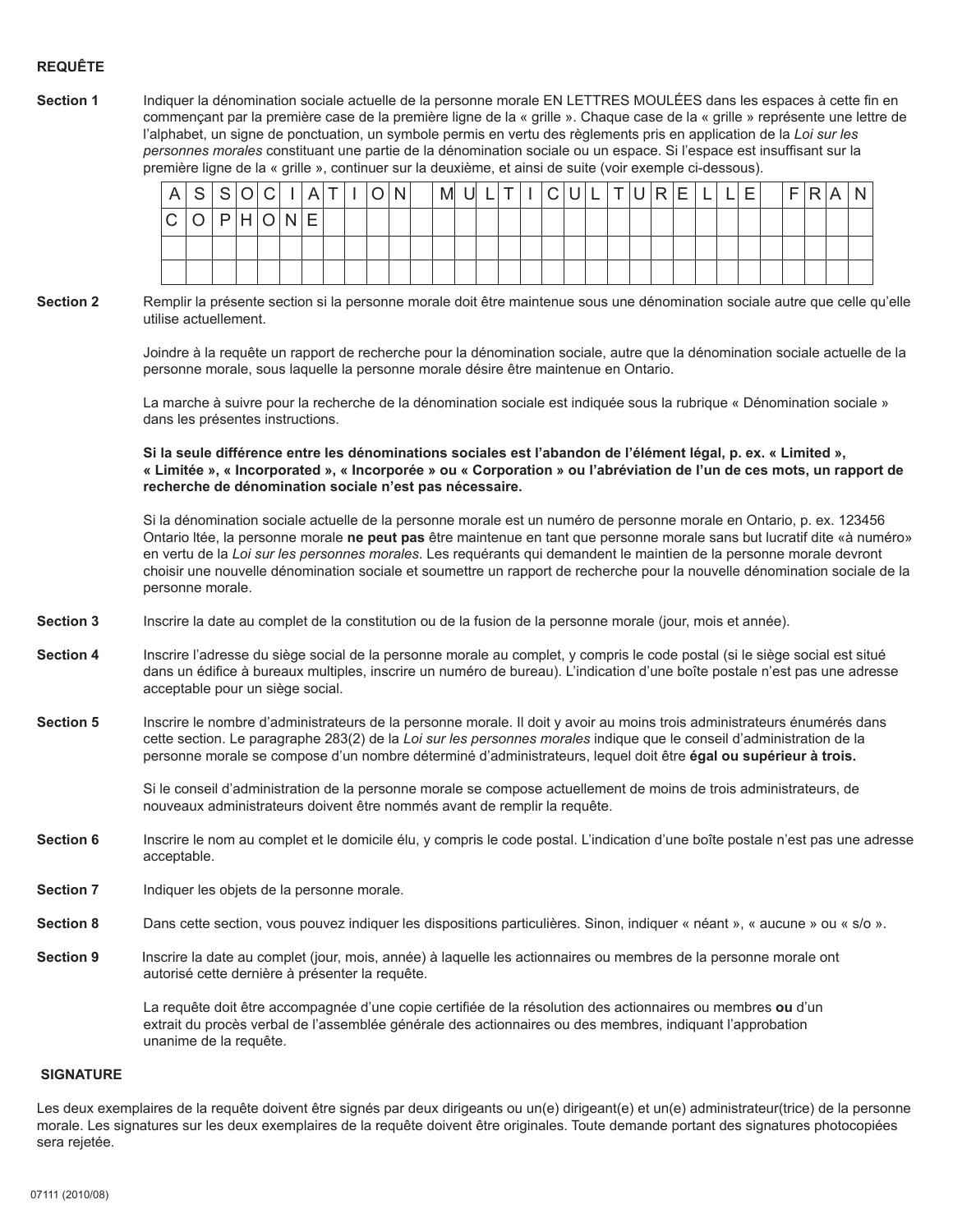### **REQUÊTE**

Section 1 Indiquer la dénomination sociale actuelle de la personne morale EN LETTRES MOULÉES dans les espaces à cette fin en commençant par la première case de la première ligne de la « grille ». Chaque case de la « grille » représente une lettre de l'alphabet, un signe de ponctuation, un symbole permis en vertu des règlements pris en application de la *Loi sur les personnes morales* constituant une partie de la dénomination sociale ou un espace. Si l'espace est insuffisant sur la première ligne de la « grille », continuer sur la deuxième, et ainsi de suite (voir exemple ci-dessous).

|  | A S S O C I A T I O N |  |  |  |  |  |  |  |  |  |  |  |  |  |  | F R A N |  |
|--|-----------------------|--|--|--|--|--|--|--|--|--|--|--|--|--|--|---------|--|
|  | C O P H O N E         |  |  |  |  |  |  |  |  |  |  |  |  |  |  |         |  |
|  |                       |  |  |  |  |  |  |  |  |  |  |  |  |  |  |         |  |
|  |                       |  |  |  |  |  |  |  |  |  |  |  |  |  |  |         |  |

Section 2 Remplir la présente section si la personne morale doit être maintenue sous une dénomination sociale autre que celle qu'elle utilise actuellement.

> Joindre à la requête un rapport de recherche pour la dénomination sociale, autre que la dénomination sociale actuelle de la personne morale, sous laquelle la personne morale désire être maintenue en Ontario.

 La marche à suivre pour la recherche de la dénomination sociale est indiquée sous la rubrique « Dénomination sociale » dans les présentes instructions.

 **Si la seule différence entre les dénominations sociales est l'abandon de l'élément légal, p. ex. « Limited », « Limitée », « Incorporated », « Incorporée » ou « Corporation » ou l'abréviation de l'un de ces mots, un rapport de recherche de dénomination sociale n'est pas nécessaire.**

 Si la dénomination sociale actuelle de la personne morale est un numéro de personne morale en Ontario, p. ex. 123456 Ontario ltée, la personne morale **ne peut pas** être maintenue en tant que personne morale sans but lucratif dite «à numéro» en vertu de la *Loi sur les personnes morales*. Les requérants qui demandent le maintien de la personne morale devront choisir une nouvelle dénomination sociale et soumettre un rapport de recherche pour la nouvelle dénomination sociale de la personne morale.

- **Section 3** Inscrire la date au complet de la constitution ou de la fusion de la personne morale (jour, mois et année).
- **Section 4** Inscrire l'adresse du siège social de la personne morale au complet, y compris le code postal (si le siège social est situé dans un édifice à bureaux multiples, inscrire un numéro de bureau). L'indication d'une boîte postale n'est pas une adresse acceptable pour un siège social.
- Section 5 lnscrire le nombre d'administrateurs de la personne morale. Il doit y avoir au moins trois administrateurs énumérés dans cette section. Le paragraphe 283(2) de la *Loi sur les personnes morales* indique que le conseil d'administration de la personne morale se compose d'un nombre déterminé d'administrateurs, lequel doit être **égal ou supérieur à trois.**

 Si le conseil d'administration de la personne morale se compose actuellement de moins de trois administrateurs, de nouveaux administrateurs doivent être nommés avant de remplir la requête.

- Section 6 **Inscrire le nom au complet et le domicile** élu, y compris le code postal. L'indication d'une boîte postale n'est pas une adresse acceptable.
- **Section 7** Indiquer les objets de la personne morale.
- **Section 8** Dans cette section, vous pouvez indiquer les dispositions particulières. Sinon, indiquer « néant », « aucune » ou « s/o ».
- **Section 9** Inscrire la date au complet (jour, mois, année) à laquelle les actionnaires ou membres de la personne morale ont autorisé cette dernière à présenter la requête.

La requête doit être accompagnée d'une copie certifiée de la résolution des actionnaires ou membres ou d'un extrait du procès verbal de l'assemblée générale des actionnaires ou des membres, indiquant l'approbation unanime de la requête.

#### **SIGNATURE**

Les deux exemplaires de la requête doivent être signés par deux dirigeants ou un(e) dirigeant(e) et un(e) administrateur(trice) de la personne morale. Les signatures sur les deux exemplaires de la requête doivent être originales. Toute demande portant des signatures photocopiées sera rejetée.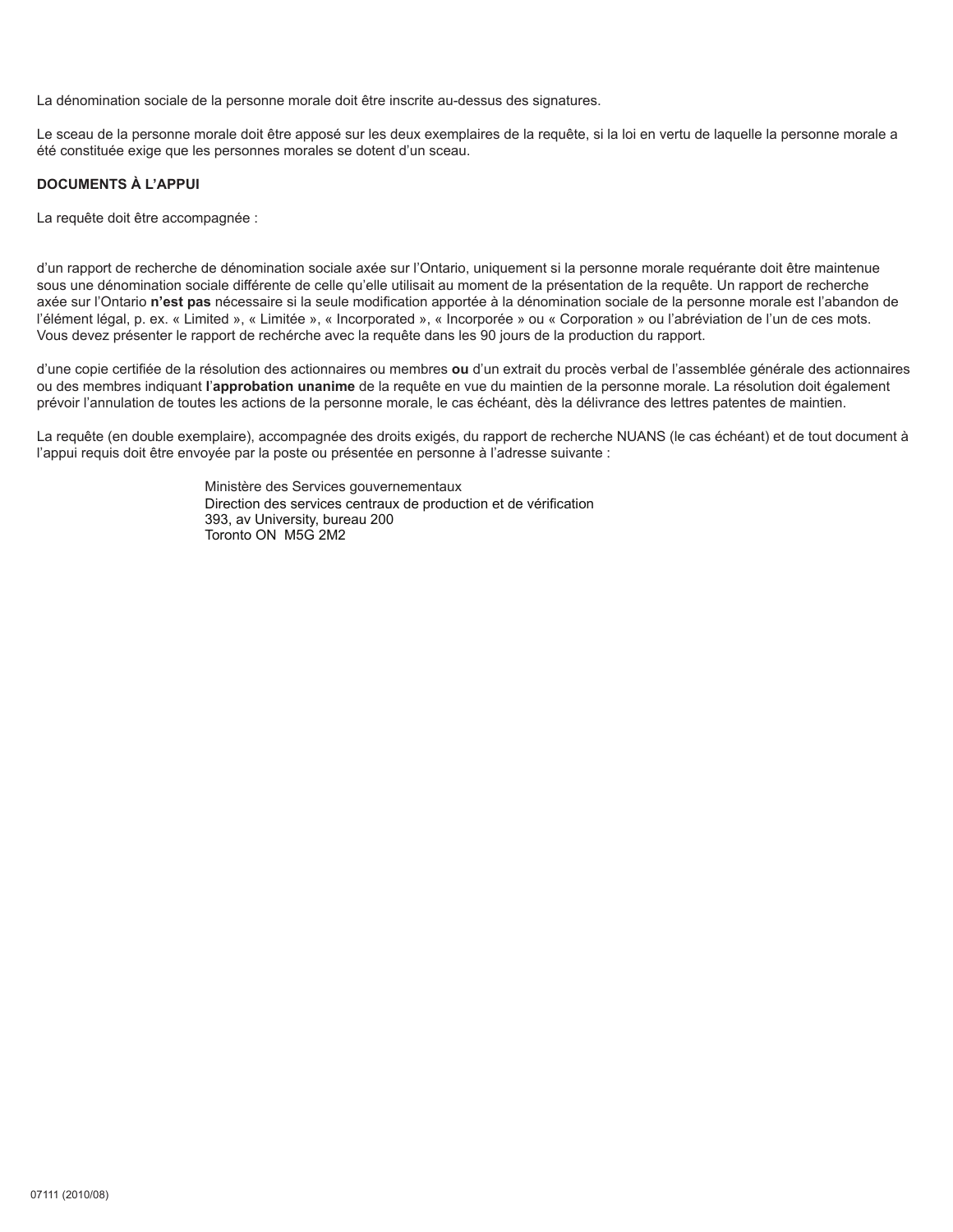La dénomination sociale de la personne morale doit être inscrite au-dessus des signatures.

Le sceau de la personne morale doit être apposé sur les deux exemplaires de la requête, si la loi en vertu de laquelle la personne morale a été constituée exige que les personnes morales se dotent d'un sceau.

### **DOCUMENTS À L'APPUI**

La requête doit être accompagnée :

d'un rapport de recherche de dénomination sociale axée sur l'Ontario, uniquement si la personne morale requérante doit être maintenue sous une dénomination sociale différente de celle qu'elle utilisait au moment de la présentation de la requête. Un rapport de recherche axée sur l'Ontario n'est pas nécessaire si la seule modification apportée à la dénomination sociale de la personne morale est l'abandon de l'élément légal, p. ex. « Limited », « Limitée », « Incorporated », « Incorporée » ou « Corporation » ou l'abréviation de l'un de ces mots. Vous devez présenter le rapport de rechérche avec la requête dans les 90 jours de la production du rapport.

d'une copie certifiée de la résolution des actionnaires ou membres ou d'un extrait du procès verbal de l'assemblée générale des actionnaires ou des membres indiquant **l**'**approbation unanime** de la requête en vue du maintien de la personne morale. La résolution doit également prévoir l'annulation de toutes les actions de la personne morale, le cas échéant, dès la délivrance des lettres patentes de maintien.

La requête (en double exemplaire), accompagnée des droits exigés, du rapport de recherche NUANS (le cas échéant) et de tout document à l'appui requis doit être envoyée par la poste ou présentée en personne à l'adresse suivante :

> Ministère des Services gouvernementaux Direction des services centraux de production et de vérification 393, av University, bureau 200 Toronto ON M5G 2M2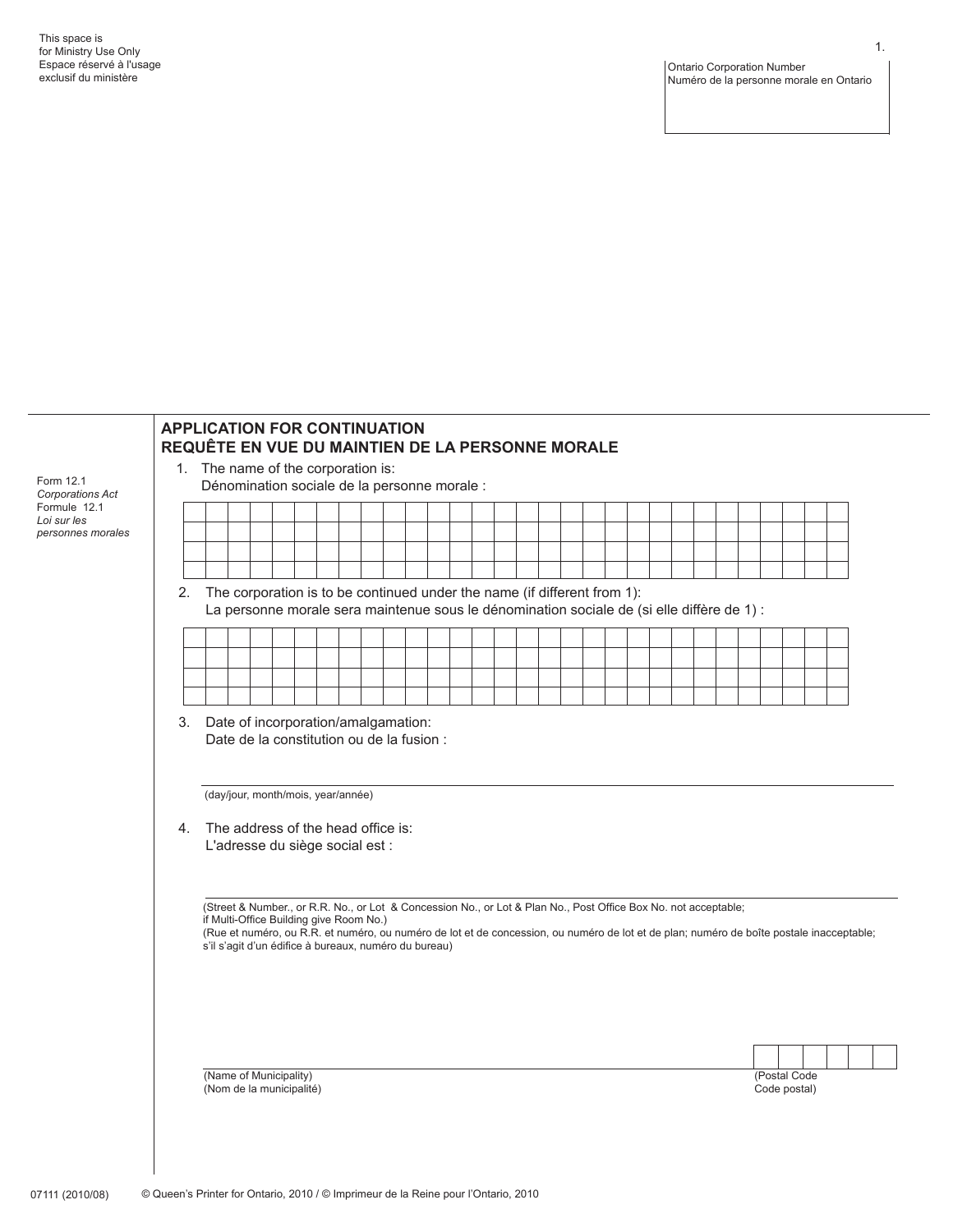1.

| Form 12.1                        |  | 1. The name of the corporation is:<br>Dénomination sociale de la personne morale :                                                                                                                                                                                                                                                        |  |  |  |  |  |  |  |  |  |  |  |  |  |  |  |  |  |
|----------------------------------|--|-------------------------------------------------------------------------------------------------------------------------------------------------------------------------------------------------------------------------------------------------------------------------------------------------------------------------------------------|--|--|--|--|--|--|--|--|--|--|--|--|--|--|--|--|--|
| Corporations Act<br>Formule 12.1 |  |                                                                                                                                                                                                                                                                                                                                           |  |  |  |  |  |  |  |  |  |  |  |  |  |  |  |  |  |
| Loi sur les<br>personnes morales |  |                                                                                                                                                                                                                                                                                                                                           |  |  |  |  |  |  |  |  |  |  |  |  |  |  |  |  |  |
|                                  |  |                                                                                                                                                                                                                                                                                                                                           |  |  |  |  |  |  |  |  |  |  |  |  |  |  |  |  |  |
|                                  |  |                                                                                                                                                                                                                                                                                                                                           |  |  |  |  |  |  |  |  |  |  |  |  |  |  |  |  |  |
|                                  |  | 2. The corporation is to be continued under the name (if different from 1):<br>La personne morale sera maintenue sous le dénomination sociale de (si elle diffère de 1) :                                                                                                                                                                 |  |  |  |  |  |  |  |  |  |  |  |  |  |  |  |  |  |
|                                  |  |                                                                                                                                                                                                                                                                                                                                           |  |  |  |  |  |  |  |  |  |  |  |  |  |  |  |  |  |
|                                  |  |                                                                                                                                                                                                                                                                                                                                           |  |  |  |  |  |  |  |  |  |  |  |  |  |  |  |  |  |
|                                  |  |                                                                                                                                                                                                                                                                                                                                           |  |  |  |  |  |  |  |  |  |  |  |  |  |  |  |  |  |
|                                  |  |                                                                                                                                                                                                                                                                                                                                           |  |  |  |  |  |  |  |  |  |  |  |  |  |  |  |  |  |
|                                  |  | (day/jour, month/mois, year/année)<br>4. The address of the head office is:                                                                                                                                                                                                                                                               |  |  |  |  |  |  |  |  |  |  |  |  |  |  |  |  |  |
|                                  |  | L'adresse du siège social est :<br>(Street & Number., or R.R. No., or Lot & Concession No., or Lot & Plan No., Post Office Box No. not acceptable;<br>if Multi-Office Building give Room No.)<br>(Rue et numéro, ou R.R. et numéro, ou numéro de lot et de concession, ou numéro de lot et de plan; numéro de boîte postale inacceptable; |  |  |  |  |  |  |  |  |  |  |  |  |  |  |  |  |  |
|                                  |  | s'il s'agit d'un édifice à bureaux, numéro du bureau)                                                                                                                                                                                                                                                                                     |  |  |  |  |  |  |  |  |  |  |  |  |  |  |  |  |  |
|                                  |  |                                                                                                                                                                                                                                                                                                                                           |  |  |  |  |  |  |  |  |  |  |  |  |  |  |  |  |  |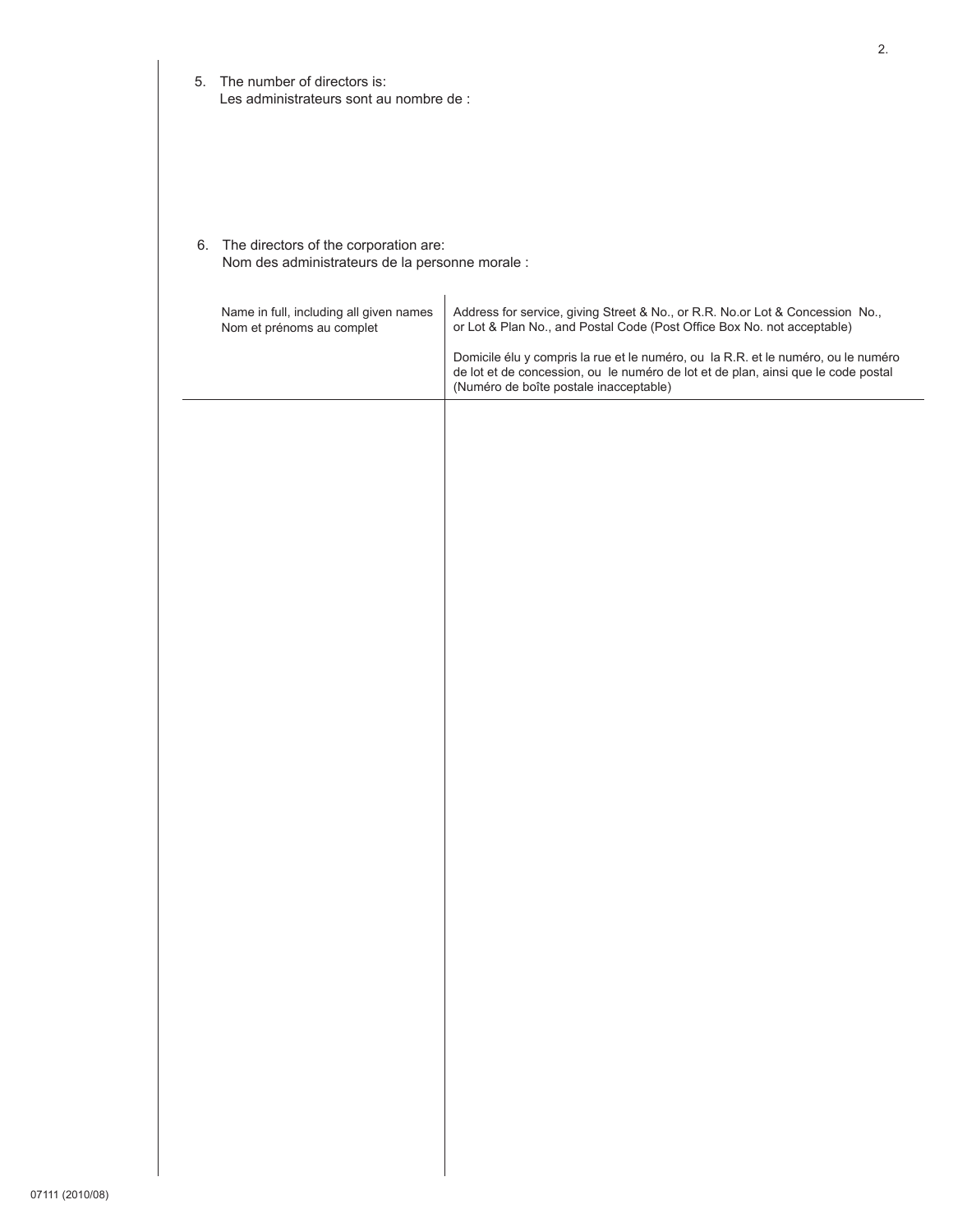| 5. The number of directors is:<br>Les administrateurs sont au nombre de :                   |                                                                                                                                                                                                                  |
|---------------------------------------------------------------------------------------------|------------------------------------------------------------------------------------------------------------------------------------------------------------------------------------------------------------------|
|                                                                                             |                                                                                                                                                                                                                  |
|                                                                                             |                                                                                                                                                                                                                  |
| 6. The directors of the corporation are:<br>Nom des administrateurs de la personne morale : |                                                                                                                                                                                                                  |
| Name in full, including all given names<br>Nom et prénoms au complet                        | Address for service, giving Street & No., or R.R. No.or Lot & Concession No.,<br>or Lot & Plan No., and Postal Code (Post Office Box No. not acceptable)                                                         |
|                                                                                             | Domicile élu y compris la rue et le numéro, ou la R.R. et le numéro, ou le numéro<br>de lot et de concession, ou le numéro de lot et de plan, ainsi que le code postal<br>(Numéro de boîte postale inacceptable) |
|                                                                                             |                                                                                                                                                                                                                  |
|                                                                                             |                                                                                                                                                                                                                  |
|                                                                                             |                                                                                                                                                                                                                  |
|                                                                                             |                                                                                                                                                                                                                  |
|                                                                                             |                                                                                                                                                                                                                  |
|                                                                                             |                                                                                                                                                                                                                  |
|                                                                                             |                                                                                                                                                                                                                  |
|                                                                                             |                                                                                                                                                                                                                  |
|                                                                                             |                                                                                                                                                                                                                  |
|                                                                                             |                                                                                                                                                                                                                  |
|                                                                                             |                                                                                                                                                                                                                  |
|                                                                                             |                                                                                                                                                                                                                  |
|                                                                                             |                                                                                                                                                                                                                  |
|                                                                                             |                                                                                                                                                                                                                  |
|                                                                                             |                                                                                                                                                                                                                  |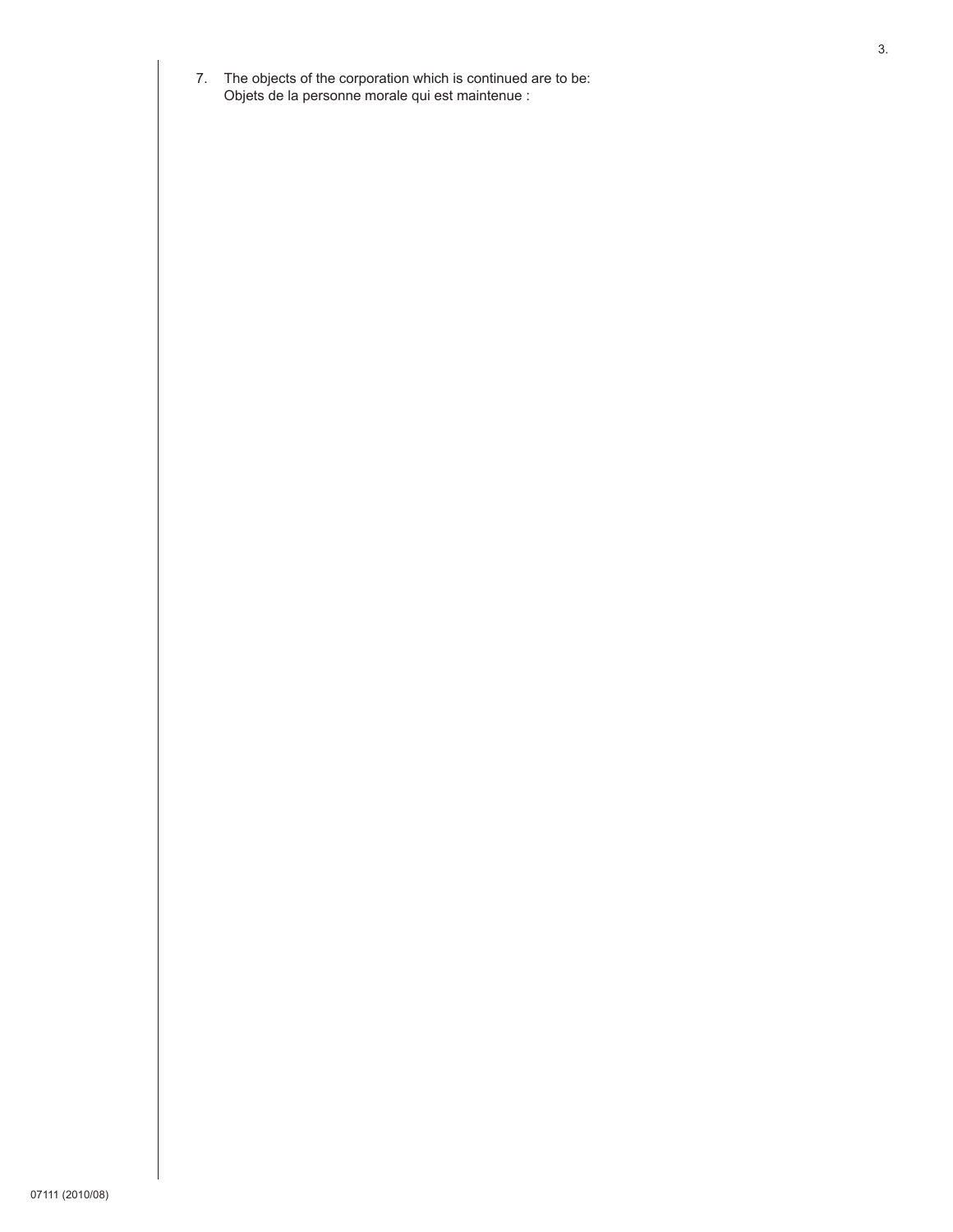7. The objects of the corporation which is continued are to be: Objets de la personne morale qui est maintenue :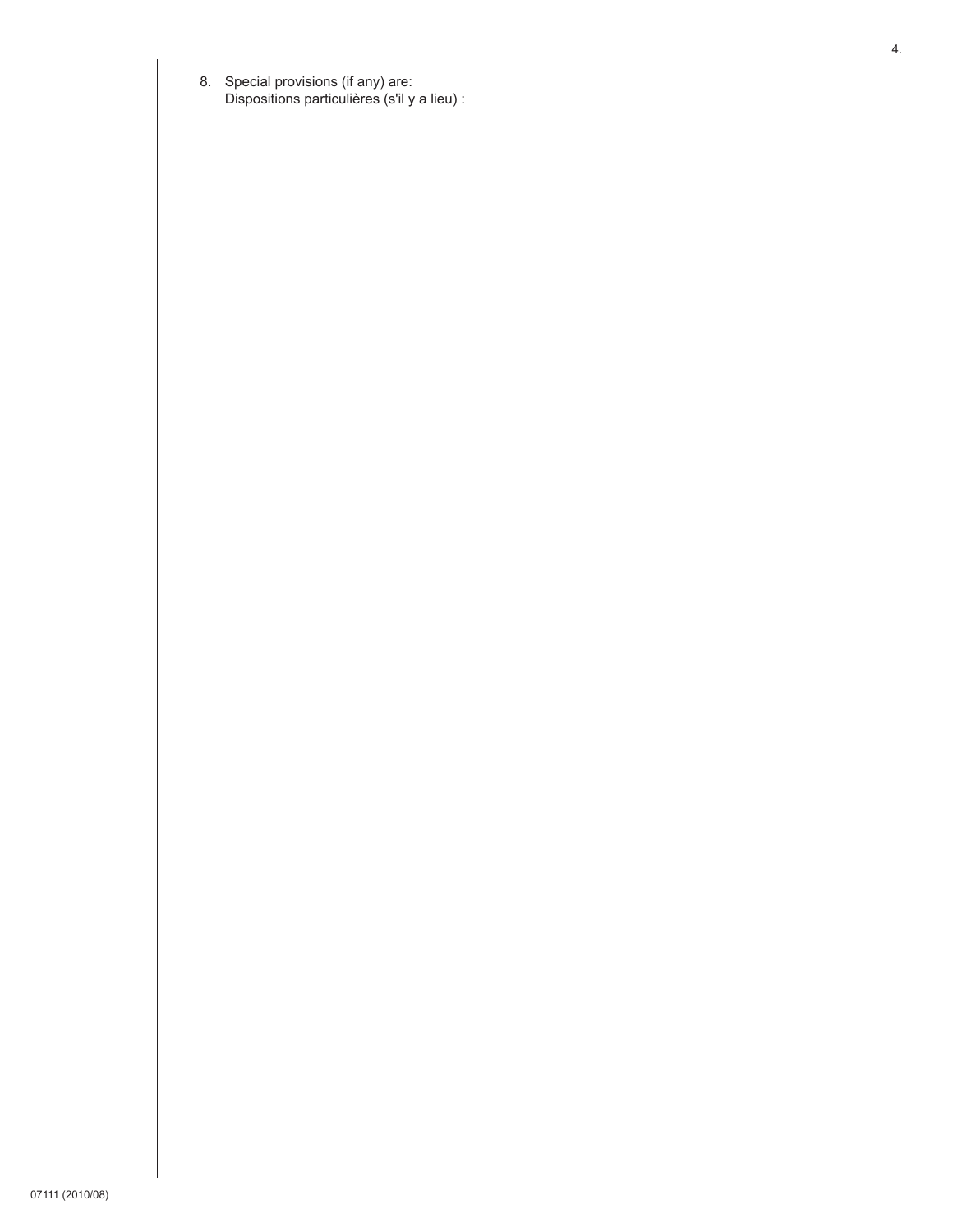8. Special provisions (if any) are: Dispositions particulières (s'il y a lieu) :